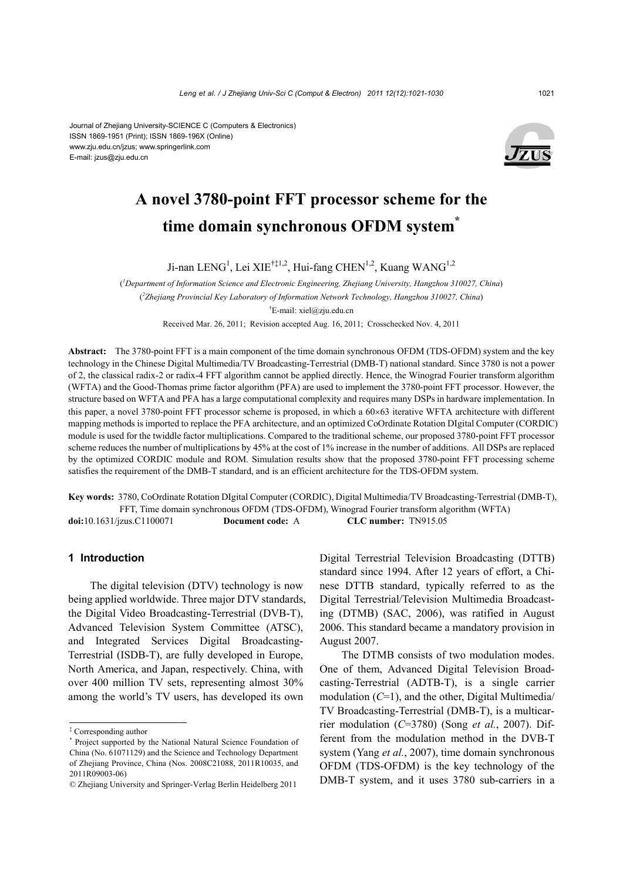#### Journal of Zhejiang University-SCIENCE C (Computers & Electronics) ISSN 1869-1951 (Print); ISSN 1869-196X (Online) www.zju.edu.cn/jzus; www.springerlink.com E-mail: jzus@zju.edu.cn



# **A novel 3780-point FFT processor scheme for the time domain synchronous OFDM system\***

Ji-nan LENG<sup>1</sup>, Lei XIE<sup>†‡1,2</sup>, Hui-fang CHEN<sup>1,2</sup>, Kuang WANG<sup>1,2</sup>

( *1 Department of Information Science and Electronic Engineering, Zhejiang University, Hangzhou 310027, China*) ( *2 Zhejiang Provincial Key Laboratory of Information Network Technology, Hangzhou 310027, China*) † E-mail: xiel@zju.edu.cn

Received Mar. 26, 2011; Revision accepted Aug. 16, 2011; Crosschecked Nov. 4, 2011

**Abstract:** The 3780-point FFT is a main component of the time domain synchronous OFDM (TDS-OFDM) system and the key technology in the Chinese Digital Multimedia/TV Broadcasting-Terrestrial (DMB-T) national standard. Since 3780 is not a power of 2, the classical radix-2 or radix-4 FFT algorithm cannot be applied directly. Hence, the Winograd Fourier transform algorithm (WFTA) and the Good-Thomas prime factor algorithm (PFA) are used to implement the 3780-point FFT processor. However, the structure based on WFTA and PFA has a large computational complexity and requires many DSPs in hardware implementation. In this paper, a novel 3780-point FFT processor scheme is proposed, in which a  $60\times63$  iterative WFTA architecture with different mapping methods is imported to replace the PFA architecture, and an optimized CoOrdinate Rotation DIgital Computer (CORDIC) module is used for the twiddle factor multiplications. Compared to the traditional scheme, our proposed 3780-point FFT processor scheme reduces the number of multiplications by 45% at the cost of 1% increase in the number of additions. All DSPs are replaced by the optimized CORDIC module and ROM. Simulation results show that the proposed 3780-point FFT processing scheme satisfies the requirement of the DMB-T standard, and is an efficient architecture for the TDS-OFDM system.

**Key words:** 3780, CoOrdinate Rotation DIgital Computer (CORDIC), Digital Multimedia/TV Broadcasting-Terrestrial (DMB-T), FFT, Time domain synchronous OFDM (TDS-OFDM), Winograd Fourier transform algorithm (WFTA) **doi:**10.1631/jzus.C1100071 **Document code:** A **CLC number:** TN915.05

# **1 Introduction**

The digital television (DTV) technology is now being applied worldwide. Three major DTV standards, the Digital Video Broadcasting-Terrestrial (DVB-T), Advanced Television System Committee (ATSC), and Integrated Services Digital Broadcasting-Terrestrial (ISDB-T), are fully developed in Europe, North America, and Japan, respectively. China, with over 400 million TV sets, representing almost 30% among the world's TV users, has developed its own

Digital Terrestrial Television Broadcasting (DTTB) standard since 1994. After 12 years of effort, a Chinese DTTB standard, typically referred to as the Digital Terrestrial/Television Multimedia Broadcasting (DTMB) (SAC, 2006), was ratified in August 2006. This standard became a mandatory provision in August 2007.

The DTMB consists of two modulation modes. One of them, Advanced Digital Television Broadcasting-Terrestrial (ADTB-T), is a single carrier modulation (*C*=1), and the other, Digital Multimedia/ TV Broadcasting-Terrestrial (DMB-T), is a multicarrier modulation (*C*=3780) (Song *et al.*, 2007). Different from the modulation method in the DVB-T system (Yang *et al.*, 2007), time domain synchronous OFDM (TDS-OFDM) is the key technology of the DMB-T system, and it uses 3780 sub-carriers in a

<sup>‡</sup> Corresponding author

<sup>\*</sup> Project supported by the National Natural Science Foundation of China (No. 61071129) and the Science and Technology Department of Zhejiang Province, China (Nos. 2008C21088, 2011R10035, and 2011R09003-06)

<sup>©</sup> Zhejiang University and Springer-Verlag Berlin Heidelberg 2011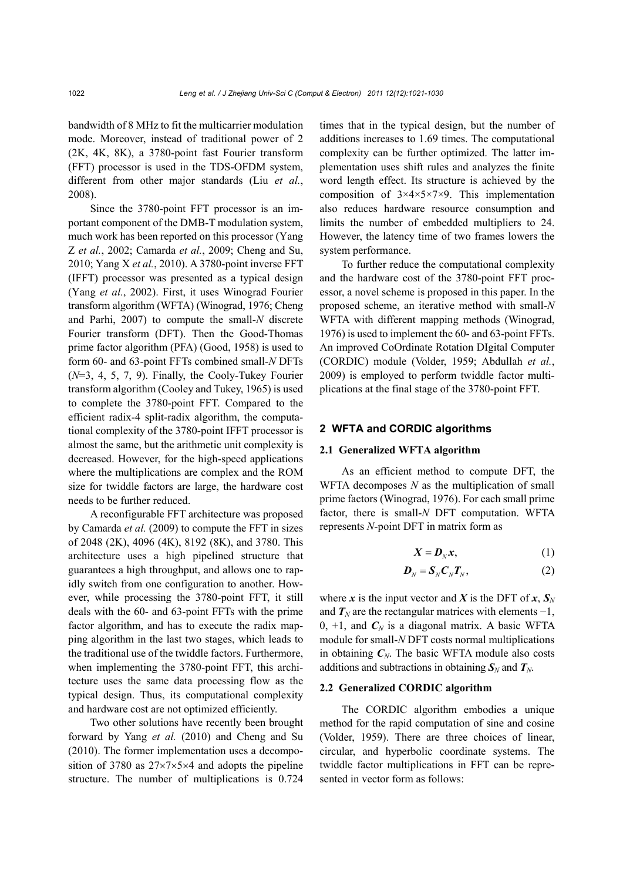bandwidth of 8 MHz to fit the multicarrier modulation mode. Moreover, instead of traditional power of 2 (2K, 4K, 8K), a 3780-point fast Fourier transform (FFT) processor is used in the TDS-OFDM system, different from other major standards (Liu *et al.*, 2008).

Since the 3780-point FFT processor is an important component of the DMB-T modulation system, much work has been reported on this processor (Yang Z *et al.*, 2002; Camarda *et al.*, 2009; Cheng and Su, 2010; Yang X *et al.*, 2010). A 3780-point inverse FFT (IFFT) processor was presented as a typical design (Yang *et al.*, 2002). First, it uses Winograd Fourier transform algorithm (WFTA) (Winograd, 1976; Cheng and Parhi, 2007) to compute the small-*N* discrete Fourier transform (DFT). Then the Good-Thomas prime factor algorithm (PFA) (Good, 1958) is used to form 60- and 63-point FFTs combined small-*N* DFTs (*N*=3, 4, 5, 7, 9). Finally, the Cooly-Tukey Fourier transform algorithm (Cooley and Tukey, 1965) is used to complete the 3780-point FFT. Compared to the efficient radix-4 split-radix algorithm, the computational complexity of the 3780-point IFFT processor is almost the same, but the arithmetic unit complexity is decreased. However, for the high-speed applications where the multiplications are complex and the ROM size for twiddle factors are large, the hardware cost needs to be further reduced.

A reconfigurable FFT architecture was proposed by Camarda *et al.* (2009) to compute the FFT in sizes of 2048 (2K), 4096 (4K), 8192 (8K), and 3780. This architecture uses a high pipelined structure that guarantees a high throughput, and allows one to rapidly switch from one configuration to another. However, while processing the 3780-point FFT, it still deals with the 60- and 63-point FFTs with the prime factor algorithm, and has to execute the radix mapping algorithm in the last two stages, which leads to the traditional use of the twiddle factors. Furthermore, when implementing the 3780-point FFT, this architecture uses the same data processing flow as the typical design. Thus, its computational complexity and hardware cost are not optimized efficiently.

Two other solutions have recently been brought forward by Yang *et al.* (2010) and Cheng and Su (2010). The former implementation uses a decomposition of 3780 as  $27 \times 7 \times 5 \times 4$  and adopts the pipeline structure. The number of multiplications is 0.724

times that in the typical design, but the number of additions increases to 1.69 times. The computational complexity can be further optimized. The latter implementation uses shift rules and analyzes the finite word length effect. Its structure is achieved by the composition of 3×4×5×7×9. This implementation also reduces hardware resource consumption and limits the number of embedded multipliers to 24. However, the latency time of two frames lowers the system performance.

To further reduce the computational complexity and the hardware cost of the 3780-point FFT processor, a novel scheme is proposed in this paper. In the proposed scheme, an iterative method with small-*N* WFTA with different mapping methods (Winograd, 1976) is used to implement the 60- and 63-point FFTs. An improved CoOrdinate Rotation DIgital Computer (CORDIC) module (Volder, 1959; Abdullah *et al.*, 2009) is employed to perform twiddle factor multiplications at the final stage of the 3780-point FFT.

# **2 WFTA and CORDIC algorithms**

## **2.1 Generalized WFTA algorithm**

As an efficient method to compute DFT, the WFTA decomposes *N* as the multiplication of small prime factors (Winograd, 1976). For each small prime factor, there is small-*N* DFT computation. WFTA represents *N*-point DFT in matrix form as

$$
X = \mathbf{D}_N \mathbf{x},\tag{1}
$$

$$
\boldsymbol{D}_N = \boldsymbol{S}_N \boldsymbol{C}_N \boldsymbol{T}_N, \tag{2}
$$

where *x* is the input vector and *X* is the DFT of *x*,  $S_N$ and  $T_N$  are the rectangular matrices with elements  $-1$ , 0,  $+1$ , and  $C_N$  is a diagonal matrix. A basic WFTA module for small-*N* DFT costs normal multiplications in obtaining  $C_N$ . The basic WFTA module also costs additions and subtractions in obtaining  $S_N$  and  $T_N$ .

## **2.2 Generalized CORDIC algorithm**

The CORDIC algorithm embodies a unique method for the rapid computation of sine and cosine (Volder, 1959). There are three choices of linear, circular, and hyperbolic coordinate systems. The twiddle factor multiplications in FFT can be represented in vector form as follows: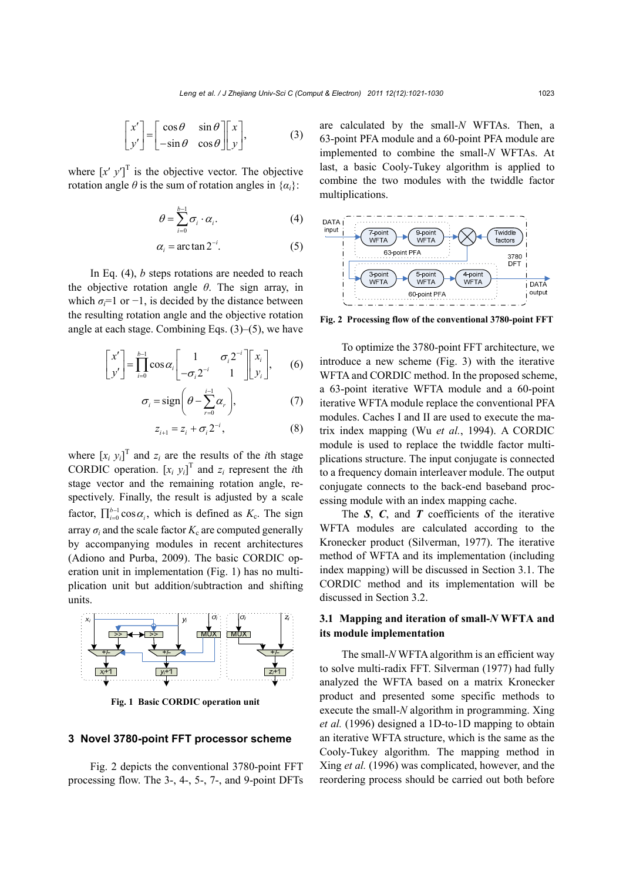$$
\begin{bmatrix} x' \\ y' \end{bmatrix} = \begin{bmatrix} \cos \theta & \sin \theta \\ -\sin \theta & \cos \theta \end{bmatrix} \begin{bmatrix} x \\ y \end{bmatrix},
$$
 (3)

where  $[x' y']^T$  is the objective vector. The objective rotation angle  $\theta$  is the sum of rotation angles in  $\{\alpha_i\}$ :

$$
\theta = \sum_{i=0}^{b-1} \sigma_i \cdot \alpha_i.
$$
 (4)

$$
\alpha_i = \arctan 2^{-i}.\tag{5}
$$

In Eq. (4), *b* steps rotations are needed to reach the objective rotation angle *θ*. The sign array, in which  $\sigma_i = 1$  or  $-1$ , is decided by the distance between the resulting rotation angle and the objective rotation angle at each stage. Combining Eqs. (3)–(5), we have

$$
\begin{bmatrix} x' \\ y' \end{bmatrix} = \prod_{i=0}^{b-1} \cos \alpha_i \begin{bmatrix} 1 & \sigma_i 2^{-i} \\ -\sigma_i 2^{-i} & 1 \end{bmatrix} \begin{bmatrix} x_i \\ y_i \end{bmatrix}, \qquad (6)
$$

$$
\sigma_i = \text{sign}\bigg(\theta - \sum_{r=0}^{i-1} \alpha_r\bigg),\tag{7}
$$

$$
z_{i+1} = z_i + \sigma_i 2^{-i}, \tag{8}
$$

where  $[x_i y_i]^T$  and  $z_i$  are the results of the *i*th stage CORDIC operation.  $[x_i, y_i]^T$  and  $z_i$  represent the *i*th stage vector and the remaining rotation angle, respectively. Finally, the result is adjusted by a scale factor,  $\prod_{i=0}^{b-1} \cos \alpha_i$ , which is defined as  $K_c$ . The sign array  $\sigma_i$  and the scale factor  $K_c$  are computed generally by accompanying modules in recent architectures (Adiono and Purba, 2009). The basic CORDIC operation unit in implementation (Fig. 1) has no multiplication unit but addition/subtraction and shifting units.



**Fig. 1 Basic CORDIC operation unit**

### **3 Novel 3780-point FFT processor scheme**

Fig. 2 depicts the conventional 3780-point FFT processing flow. The 3-, 4-, 5-, 7-, and 9-point DFTs are calculated by the small-*N* WFTAs. Then, a 63-point PFA module and a 60-point PFA module are implemented to combine the small-*N* WFTAs. At last, a basic Cooly-Tukey algorithm is applied to combine the two modules with the twiddle factor multiplications.



**Fig. 2 Processing flow of the conventional 3780-point FFT**

To optimize the 3780-point FFT architecture, we introduce a new scheme (Fig. 3) with the iterative WFTA and CORDIC method. In the proposed scheme, a 63-point iterative WFTA module and a 60-point iterative WFTA module replace the conventional PFA modules. Caches I and II are used to execute the matrix index mapping (Wu *et al.*, 1994). A CORDIC module is used to replace the twiddle factor multiplications structure. The input conjugate is connected to a frequency domain interleaver module. The output conjugate connects to the back-end baseband processing module with an index mapping cache.

The *S*, *C*, and *T* coefficients of the iterative WFTA modules are calculated according to the Kronecker product (Silverman, 1977). The iterative method of WFTA and its implementation (including index mapping) will be discussed in Section 3.1. The CORDIC method and its implementation will be discussed in Section 3.2.

# **3.1 Mapping and iteration of small-***N* **WFTA and its module implementation**

The small-*N* WFTA algorithm is an efficient way to solve multi-radix FFT. Silverman (1977) had fully analyzed the WFTA based on a matrix Kronecker product and presented some specific methods to execute the small-*N* algorithm in programming. Xing *et al.* (1996) designed a 1D-to-1D mapping to obtain an iterative WFTA structure, which is the same as the Cooly-Tukey algorithm. The mapping method in Xing *et al.* (1996) was complicated, however, and the reordering process should be carried out both before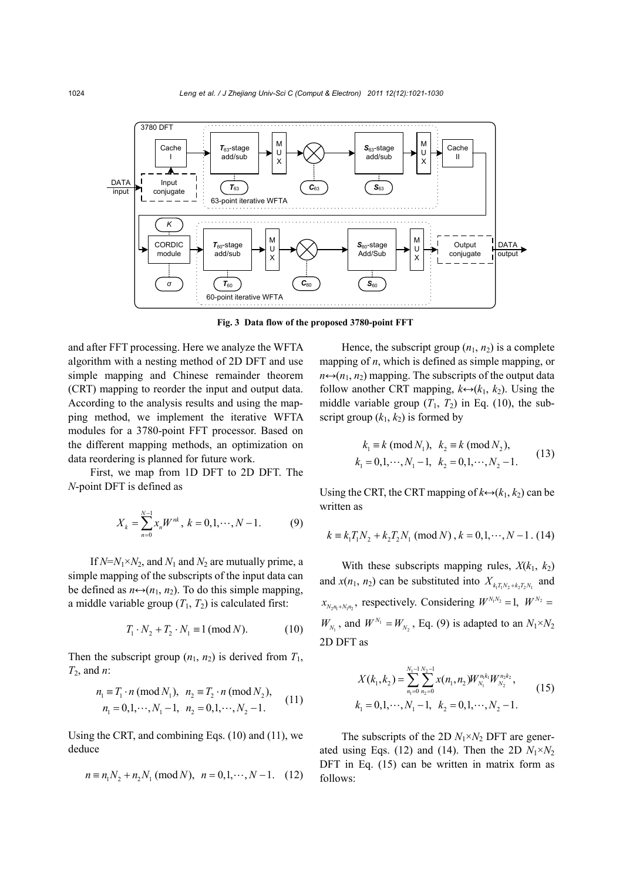

**Fig. 3 Data flow of the proposed 3780-point FFT**

and after FFT processing. Here we analyze the WFTA algorithm with a nesting method of 2D DFT and use simple mapping and Chinese remainder theorem (CRT) mapping to reorder the input and output data. According to the analysis results and using the mapping method, we implement the iterative WFTA modules for a 3780-point FFT processor. Based on the different mapping methods, an optimization on data reordering is planned for future work.

First, we map from 1D DFT to 2D DFT. The *N*-point DFT is defined as

$$
X_k = \sum_{n=0}^{N-1} x_n W^{nk}, \ k = 0, 1, \cdots, N-1.
$$
 (9)

If  $N=N_1\times N_2$ , and  $N_1$  and  $N_2$  are mutually prime, a simple mapping of the subscripts of the input data can be defined as  $n \leftrightarrow (n_1, n_2)$ . To do this simple mapping, a middle variable group  $(T_1, T_2)$  is calculated first:

$$
T_1 \cdot N_2 + T_2 \cdot N_1 \equiv 1 \, (\text{mod } N). \tag{10}
$$

Then the subscript group  $(n_1, n_2)$  is derived from  $T_1$ , *T*2, and *n*:

$$
n_1 \equiv T_1 \cdot n \pmod{N_1}, \quad n_2 \equiv T_2 \cdot n \pmod{N_2},
$$
  
\n
$$
n_1 = 0, 1, \dots, N_1 - 1, \quad n_2 = 0, 1, \dots, N_2 - 1.
$$
 (11)

Using the CRT, and combining Eqs. (10) and (11), we deduce

$$
n \equiv n_1 N_2 + n_2 N_1 \pmod{N}, \ \ n = 0, 1, \cdots, N - 1. \tag{12}
$$

Hence, the subscript group  $(n_1, n_2)$  is a complete mapping of *n*, which is defined as simple mapping, or  $n \leftrightarrow (n_1, n_2)$  mapping. The subscripts of the output data follow another CRT mapping,  $k \leftrightarrow (k_1, k_2)$ . Using the middle variable group  $(T_1, T_2)$  in Eq. (10), the subscript group  $(k_1, k_2)$  is formed by

$$
k_1 \equiv k \pmod{N_1}, k_2 \equiv k \pmod{N_2},
$$
  
\n
$$
k_1 = 0, 1, \dots, N_1 - 1, k_2 = 0, 1, \dots, N_2 - 1.
$$
\n(13)

Using the CRT, the CRT mapping of  $k \leftrightarrow (k_1, k_2)$  can be written as

$$
k \equiv k_1 T_1 N_2 + k_2 T_2 N_1 \pmod{N}, k = 0, 1, \dots, N - 1
$$
. (14)

With these subscripts mapping rules,  $X(k_1, k_2)$ and  $x(n_1, n_2)$  can be substituted into  $X_{k,T,N_1+k,T,N_2}$  and  $x_{N_2 n_1 + N_1 n_2}$ , respectively. Considering  $W^{N_1 N_2} = 1$ ,  $W^{N_2} =$  $W_{N_1}$ , and  $W^{N_1} = W_{N_2}$ , Eq. (9) is adapted to an  $N_1 \times N_2$ 2D DFT as

$$
X(k_1, k_2) = \sum_{n_1=0}^{N_1-1} \sum_{n_2=0}^{N_2-1} x(n_1, n_2) W_{N_1}^{n_1 k_1} W_{N_2}^{n_2 k_2},
$$
  
\n
$$
k_1 = 0, 1, \cdots, N_1 - 1, \quad k_2 = 0, 1, \cdots, N_2 - 1.
$$
\n(15)

The subscripts of the 2D  $N_1 \times N_2$  DFT are generated using Eqs. (12) and (14). Then the 2D  $N_1 \times N_2$ DFT in Eq. (15) can be written in matrix form as follows: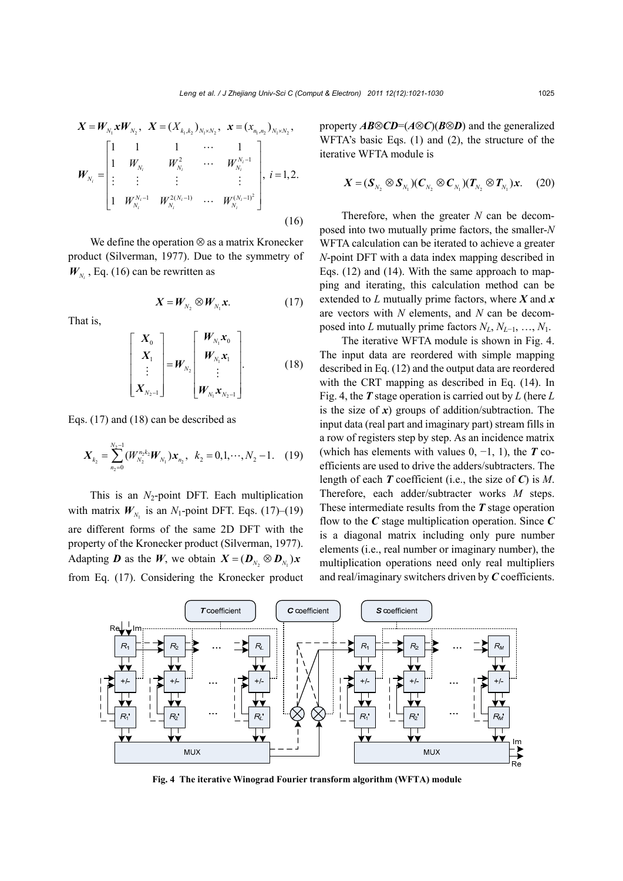$$
\boldsymbol{X} = \boldsymbol{W}_{N_1} \boldsymbol{x} \boldsymbol{W}_{N_2}, \ \ \boldsymbol{X} = (X_{k_1, k_2})_{N_1 \times N_2}, \ \ \boldsymbol{x} = (x_{n_1, n_2})_{N_1 \times N_2},
$$
\n
$$
\boldsymbol{W}_{N_i} = \begin{bmatrix} 1 & 1 & 1 & \cdots & 1 \\ 1 & W_{N_i} & W_{N_i}^2 & \cdots & W_{N_i}^{N_i-1} \\ \vdots & \vdots & \vdots & & \vdots \\ 1 & W_{N_i}^{N_i-1} & W_{N_i}^{2(N_i-1)} & \cdots & W_{N_i}^{(N_i-1)^2} \end{bmatrix}, \ i = 1, 2.
$$
\n(16)

We define the operation  $\otimes$  as a matrix Kronecker product (Silverman, 1977). Due to the symmetry of  $W_{N_i}$ , Eq. (16) can be rewritten as

$$
\boldsymbol{X} = \boldsymbol{W}_{N_2} \otimes \boldsymbol{W}_{N_1} \boldsymbol{x}.\tag{17}
$$

That is,

$$
\begin{bmatrix} X_0 \\ X_1 \\ \vdots \\ X_{N_2-1} \end{bmatrix} = W_{N_2} \begin{bmatrix} W_{N_1} x_0 \\ W_{N_1} x_1 \\ \vdots \\ W_{N_1} x_{N_2-1} \end{bmatrix} .
$$
 (18)

Eqs. (17) and (18) can be described as

$$
\mathbf{X}_{k_2} = \sum_{n_2=0}^{N_2-1} (W_{N_2}^{n_2 k_2} W_{N_1}) \mathbf{x}_{n_2}, \ \ k_2 = 0, 1, \cdots, N_2 - 1. \tag{19}
$$

This is an  $N_2$ -point DFT. Each multiplication with matrix  $W_{N_1}$  is an  $N_1$ -point DFT. Eqs. (17)–(19) are different forms of the same 2D DFT with the property of the Kronecker product (Silverman, 1977). Adapting *D* as the *W*, we obtain  $X = (D_{N_2} \otimes D_{N_1})x$ from Eq. (17). Considering the Kronecker product property  $AB \otimes CD = (A \otimes C)(B \otimes D)$  and the generalized WFTA's basic Eqs. (1) and (2), the structure of the iterative WFTA module is

$$
\boldsymbol{X} = (\boldsymbol{S}_{N_2} \otimes \boldsymbol{S}_{N_1})(\boldsymbol{C}_{N_2} \otimes \boldsymbol{C}_{N_1})(\boldsymbol{T}_{N_2} \otimes \boldsymbol{T}_{N_1})\boldsymbol{x}. \qquad (20)
$$

Therefore, when the greater *N* can be decomposed into two mutually prime factors, the smaller-*N* WFTA calculation can be iterated to achieve a greater *N*-point DFT with a data index mapping described in Eqs. (12) and (14). With the same approach to mapping and iterating, this calculation method can be extended to *L* mutually prime factors, where *X* and *x* are vectors with *N* elements, and *N* can be decomposed into *L* mutually prime factors  $N_L$ ,  $N_{L-1}$ , …,  $N_1$ .

The iterative WFTA module is shown in Fig. 4. The input data are reordered with simple mapping described in Eq. (12) and the output data are reordered with the CRT mapping as described in Eq. (14). In Fig. 4, the *T* stage operation is carried out by *L* (here *L* is the size of  $x$ ) groups of addition/subtraction. The input data (real part and imaginary part) stream fills in a row of registers step by step. As an incidence matrix (which has elements with values 0, −1, 1), the *T* coefficients are used to drive the adders/subtracters. The length of each *T* coefficient (i.e., the size of *C*) is *M*. Therefore, each adder/subtracter works *M* steps. These intermediate results from the *T* stage operation flow to the *C* stage multiplication operation. Since *C* is a diagonal matrix including only pure number elements (i.e., real number or imaginary number), the multiplication operations need only real multipliers and real/imaginary switchers driven by *C* coefficients.



**Fig. 4 The iterative Winograd Fourier transform algorithm (WFTA) module**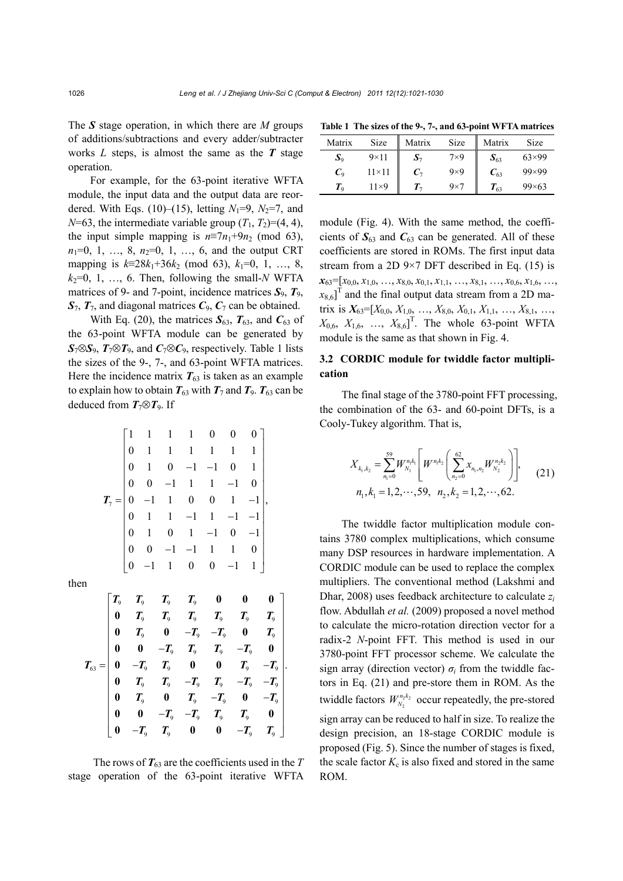The *S* stage operation, in which there are *M* groups of additions/subtractions and every adder/subtracter works *L* steps, is almost the same as the *T* stage operation.

For example, for the 63-point iterative WFTA module, the input data and the output data are reordered. With Eqs. (10)–(15), letting  $N_1=9$ ,  $N_2=7$ , and  $N=63$ , the intermediate variable group  $(T_1, T_2)=(4, 4)$ , the input simple mapping is  $n \equiv 7n_1+9n_2 \pmod{63}$ ,  $n_1=0, 1, ..., 8, n_2=0, 1, ..., 6,$  and the output CRT mapping is  $k=28k_1+36k_2 \pmod{63}$ ,  $k_1=0, 1, ..., 8$ ,  $k_2=0, 1, \ldots, 6$ . Then, following the small-*N* WFTA matrices of 9- and 7-point, incidence matrices  $S_9$ ,  $T_9$ ,  $S_7$ ,  $T_7$ , and diagonal matrices  $C_9$ ,  $C_7$  can be obtained.

With Eq. (20), the matrices  $S_{63}$ ,  $T_{63}$ , and  $C_{63}$  of the 63-point WFTA module can be generated by  $S_7 \otimes S_9$ ,  $T_7 \otimes T_9$ , and  $C_7 \otimes C_9$ , respectively. Table 1 lists the sizes of the 9-, 7-, and 63-point WFTA matrices. Here the incidence matrix  $T_{63}$  is taken as an example to explain how to obtain  $T_{63}$  with  $T_7$  and  $T_9$ .  $T_{63}$  can be deduced from  $T_7 \otimes T_9$ . If

$$
\mathbf{T}_7 = \begin{bmatrix}\n1 & 1 & 1 & 1 & 0 & 0 & 0 \\
0 & 1 & 1 & 1 & 1 & 1 & 1 \\
0 & 1 & 0 & -1 & -1 & 0 & 1 \\
0 & 0 & -1 & 1 & 1 & -1 & 0 \\
0 & -1 & 1 & 0 & 0 & 1 & -1 \\
0 & 1 & 1 & -1 & 1 & -1 & -1 \\
0 & 1 & 0 & 1 & -1 & 0 & -1 \\
0 & 0 & -1 & -1 & 1 & 1 & 0 \\
0 & -1 & 1 & 0 & 0 & -1 & 1\n\end{bmatrix}
$$

then

$$
T_{63} = \begin{bmatrix} T_9 & T_9 & T_9 & T_9 & 0 & 0 & 0 \\ 0 & T_9 & T_9 & T_9 & T_9 & T_9 & T_9 \\ 0 & T_9 & 0 & -T_9 & -T_9 & 0 & T_9 \\ 0 & 0 & -T_9 & T_9 & T_9 & -T_9 & 0 \\ 0 & -T_9 & T_9 & 0 & 0 & T_9 & -T_9 \\ 0 & T_9 & T_9 & -T_9 & T_9 & -T_9 & -T_9 \\ 0 & T_9 & 0 & T_9 & -T_9 & 0 & -T_9 \\ 0 & 0 & -T_9 & -T_9 & T_9 & T_9 & T_9 \end{bmatrix}.
$$

The rows of  $T_6$ <sup>3</sup> are the coefficients used in the *T* stage operation of the 63-point iterative WFTA

**Table 1 The sizes of the 9-, 7-, and 63-point WFTA matrices**

| Matrix         | Size           | Matrix | Size       | Matrix        | Size           |
|----------------|----------------|--------|------------|---------------|----------------|
| $\mathbf{S}_9$ | $9\times11$    | 77     | $7\times9$ | $\bm{S}_{63}$ | $63\times99$   |
| $C_{9}$        | $11 \times 11$ |        | $9\times9$ | $C_{63}$      | $99 \times 99$ |
| $T_{\rm o}$    | $11\times9$    | Т-,    | $9\times7$ | $T_{63}$      | $99 \times 63$ |

module (Fig. 4). With the same method, the coefficients of  $S_{63}$  and  $C_{63}$  can be generated. All of these coefficients are stored in ROMs. The first input data stream from a 2D  $9\times7$  DFT described in Eq. (15) is  $\mathbf{x}_{63}$  =  $[x_{0,0}, x_{1,0}, \ldots, x_{8,0}, x_{0,1}, x_{1,1}, \ldots, x_{8,1}, \ldots, x_{0,6}, x_{1,6}, \ldots,$  $x_{8,6}$ ]<sup>T</sup> and the final output data stream from a 2D matrix is  $X_{63}=[X_{0,0}, X_{1,0}, \ldots, X_{8,0}, X_{0,1}, X_{1,1}, \ldots, X_{8,1}, \ldots,$  $X_{0,6}$ ,  $X_{1,6}$ , ...,  $X_{8,6}$ <sup>T</sup>. The whole 63-point WFTA module is the same as that shown in Fig. 4.

# **3.2 CORDIC module for twiddle factor multiplication**

The final stage of the 3780-point FFT processing, the combination of the 63- and 60-point DFTs, is a Cooly-Tukey algorithm. That is,

$$
X_{k_1,k_2} = \sum_{n_1=0}^{59} W_{N_1}^{n_1 k_1} \left[ W^{n_1 k_2} \left( \sum_{n_2=0}^{62} x_{n_1,n_2} W_{N_2}^{n_2 k_2} \right) \right],
$$
  
\n
$$
n_1, k_1 = 1, 2, \cdots, 59, n_2, k_2 = 1, 2, \cdots, 62.
$$
 (21)

The twiddle factor multiplication module contains 3780 complex multiplications, which consume many DSP resources in hardware implementation. A CORDIC module can be used to replace the complex multipliers. The conventional method (Lakshmi and Dhar, 2008) uses feedback architecture to calculate *zi* flow. Abdullah *et al.* (2009) proposed a novel method to calculate the micro-rotation direction vector for a radix-2 *N*-point FFT. This method is used in our 3780-point FFT processor scheme. We calculate the sign array (direction vector)  $\sigma_i$  from the twiddle factors in Eq. (21) and pre-store them in ROM. As the twiddle factors  $W_{N_2}^{n_2 k_2}$  occur repeatedly, the pre-stored sign array can be reduced to half in size. To realize the design precision, an 18-stage CORDIC module is proposed (Fig. 5). Since the number of stages is fixed, the scale factor  $K_c$  is also fixed and stored in the same ROM.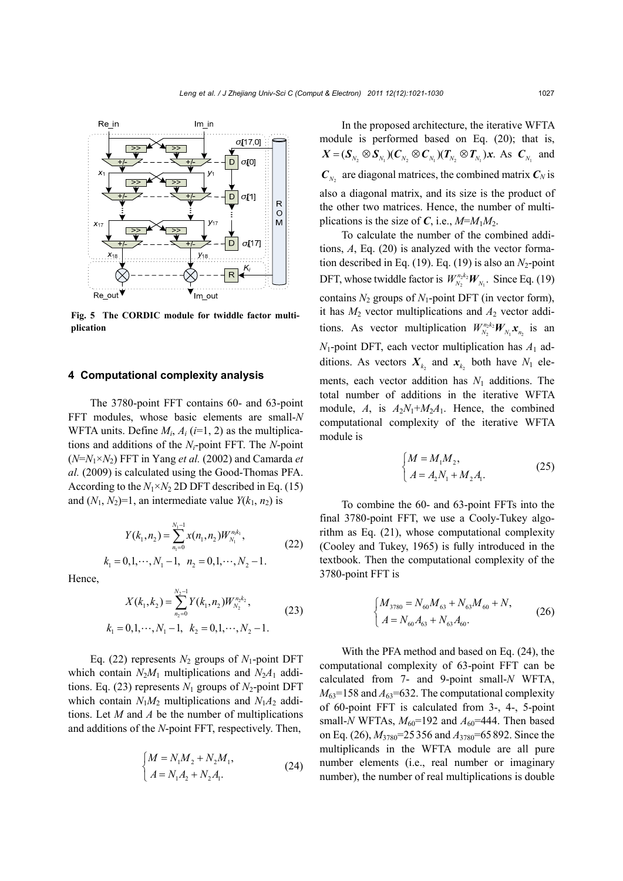

**Fig. 5 The CORDIC module for twiddle factor multiplication**

# **4 Computational complexity analysis**

The 3780-point FFT contains 60- and 63-point FFT modules, whose basic elements are small-*N* WFTA units. Define  $M_i$ ,  $A_i$  ( $i=1, 2$ ) as the multiplications and additions of the *Ni*-point FFT. The *N*-point (*N*=*N*1×*N*2) FFT in Yang *et al.* (2002) and Camarda *et al.* (2009) is calculated using the Good-Thomas PFA. According to the  $N_1 \times N_2$  2D DFT described in Eq. (15) and  $(N_1, N_2)=1$ , an intermediate value  $Y(k_1, n_2)$  is

$$
Y(k_1, n_2) = \sum_{n_1=0}^{N_1-1} x(n_1, n_2) W_{N_1}^{n_1 k_1},
$$
 (22)

$$
k_1 = 0, 1, \dots, N_1 - 1, n_2 = 0, 1, \dots, N_2 - 1.
$$

Hence,

$$
X(k_1, k_2) = \sum_{n_2=0}^{N_2-1} Y(k_1, n_2) W_{N_2}^{n_2 k_2},
$$
  
\n
$$
k_1 = 0, 1, \dots, N_1 - 1, \quad k_2 = 0, 1, \dots, N_2 - 1.
$$
\n(23)

Eq. (22) represents  $N_2$  groups of  $N_1$ -point DFT which contain  $N_2M_1$  multiplications and  $N_2A_1$  additions. Eq. (23) represents  $N_1$  groups of  $N_2$ -point DFT which contain  $N_1M_2$  multiplications and  $N_1A_2$  additions. Let *M* and *A* be the number of multiplications and additions of the *N*-point FFT, respectively. Then,

$$
\begin{cases} M = N_1 M_2 + N_2 M_1, \\ A = N_1 A_2 + N_2 A_1. \end{cases}
$$
 (24)

In the proposed architecture, the iterative WFTA module is performed based on Eq. (20); that is,  $X = (\mathcal{S}_{N_2} \otimes \mathcal{S}_{N_1})(C_{N_2} \otimes C_{N_1})(T_{N_2} \otimes T_{N_1})x$ . As  $C_{N_1}$  and  $C_N$  are diagonal matrices, the combined matrix  $C_N$  is also a diagonal matrix, and its size is the product of the other two matrices. Hence, the number of multiplications is the size of *C*, i.e.,  $M=M_1M_2$ .

To calculate the number of the combined additions, *A*, Eq. (20) is analyzed with the vector formation described in Eq.  $(19)$ . Eq.  $(19)$  is also an  $N_2$ -point DFT, whose twiddle factor is  $W_{N_2}^{n_2 k_2} W_{N_1}$ . Since Eq. (19) contains *N*2 groups of *N*1-point DFT (in vector form), it has  $M_2$  vector multiplications and  $A_2$  vector additions. As vector multiplication  $W_{N_2}^{n_2 k_2} W_{N_1} X_{n_2}$  is an  $N_1$ -point DFT, each vector multiplication has  $A_1$  additions. As vectors  $X_k$  and  $X_k$  both have  $N_1$  elements, each vector addition has  $N_1$  additions. The total number of additions in the iterative WFTA module, *A*, is  $A_2N_1+M_2A_1$ . Hence, the combined computational complexity of the iterative WFTA module is

$$
\begin{cases} M = M_1 M_2, \\ A = A_2 N_1 + M_2 A_1. \end{cases}
$$
 (25)

To combine the 60- and 63-point FFTs into the final 3780-point FFT, we use a Cooly-Tukey algorithm as Eq. (21), whose computational complexity (Cooley and Tukey, 1965) is fully introduced in the textbook. Then the computational complexity of the 3780-point FFT is

$$
\begin{cases} M_{3780} = N_{60}M_{63} + N_{63}M_{60} + N, \\ A = N_{60}A_{63} + N_{63}A_{60}. \end{cases}
$$
 (26)

With the PFA method and based on Eq. (24), the computational complexity of 63-point FFT can be calculated from 7- and 9-point small-*N* WFTA,  $M_{63}$ =158 and  $A_{63}$ =632. The computational complexity of 60-point FFT is calculated from 3-, 4-, 5-point small-*N* WFTAs,  $M_{60}$ =192 and  $A_{60}$ =444. Then based on Eq. (26), *M*3780=25356 and *A*3780=65892. Since the multiplicands in the WFTA module are all pure number elements (i.e., real number or imaginary number), the number of real multiplications is double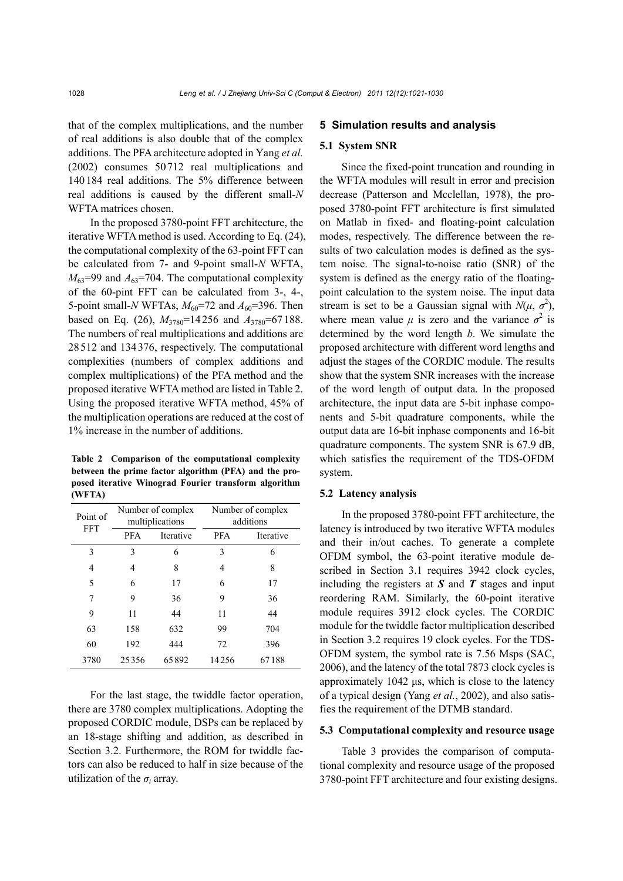that of the complex multiplications, and the number of real additions is also double that of the complex additions. The PFA architecture adopted in Yang *et al.* (2002) consumes 50712 real multiplications and 140184 real additions. The 5% difference between real additions is caused by the different small-*N* WFTA matrices chosen.

In the proposed 3780-point FFT architecture, the iterative WFTA method is used. According to Eq. (24), the computational complexity of the 63-point FFT can be calculated from 7- and 9-point small-*N* WFTA,  $M_{63}$ =99 and  $A_{63}$ =704. The computational complexity of the 60-pint FFT can be calculated from 3-, 4-, 5-point small-*N* WFTAs,  $M_{60}$ =72 and  $A_{60}$ =396. Then based on Eq. (26), *M*3780=14256 and *A*3780=67188. The numbers of real multiplications and additions are 28512 and 134376, respectively. The computational complexities (numbers of complex additions and complex multiplications) of the PFA method and the proposed iterative WFTA method are listed in Table 2. Using the proposed iterative WFTA method, 45% of the multiplication operations are reduced at the cost of 1% increase in the number of additions.

**Table 2 Comparison of the computational complexity between the prime factor algorithm (PFA) and the proposed iterative Winograd Fourier transform algorithm (WFTA)** 

| Point of   | Number of complex<br>multiplications |           | Number of complex<br>additions |           |  |
|------------|--------------------------------------|-----------|--------------------------------|-----------|--|
| <b>FFT</b> | <b>PFA</b>                           | Iterative | <b>PFA</b>                     | Iterative |  |
| 3          | 3                                    | 6         | 3                              | 6         |  |
| 4          | 4                                    | 8         | 4                              | 8         |  |
| 5          | 6                                    | 17        | 6                              | 17        |  |
| 7          | 9                                    | 36        | 9                              | 36        |  |
| 9          | 11                                   | 44        | 11                             | 44        |  |
| 63         | 158                                  | 632       | 99                             | 704       |  |
| 60         | 192                                  | 444       | 72                             | 396       |  |
| 3780       | 25356                                | 65892     | 14256                          | 67188     |  |

For the last stage, the twiddle factor operation, there are 3780 complex multiplications. Adopting the proposed CORDIC module, DSPs can be replaced by an 18-stage shifting and addition, as described in Section 3.2. Furthermore, the ROM for twiddle factors can also be reduced to half in size because of the utilization of the  $\sigma_i$  array.

## **5 Simulation results and analysis**

## **5.1 System SNR**

Since the fixed-point truncation and rounding in the WFTA modules will result in error and precision decrease (Patterson and Mcclellan, 1978), the proposed 3780-point FFT architecture is first simulated on Matlab in fixed- and floating-point calculation modes, respectively. The difference between the results of two calculation modes is defined as the system noise. The signal-to-noise ratio (SNR) of the system is defined as the energy ratio of the floatingpoint calculation to the system noise. The input data stream is set to be a Gaussian signal with  $N(\mu, \sigma^2)$ , where mean value  $\mu$  is zero and the variance  $\sigma^2$  is determined by the word length *b*. We simulate the proposed architecture with different word lengths and adjust the stages of the CORDIC module. The results show that the system SNR increases with the increase of the word length of output data. In the proposed architecture, the input data are 5-bit inphase components and 5-bit quadrature components, while the output data are 16-bit inphase components and 16-bit quadrature components. The system SNR is 67.9 dB, which satisfies the requirement of the TDS-OFDM system.

## **5.2 Latency analysis**

In the proposed 3780-point FFT architecture, the latency is introduced by two iterative WFTA modules and their in/out caches. To generate a complete OFDM symbol, the 63-point iterative module described in Section 3.1 requires 3942 clock cycles, including the registers at *S* and *T* stages and input reordering RAM. Similarly, the 60-point iterative module requires 3912 clock cycles. The CORDIC module for the twiddle factor multiplication described in Section 3.2 requires 19 clock cycles. For the TDS-OFDM system, the symbol rate is 7.56 Msps (SAC, 2006), and the latency of the total 7873 clock cycles is approximately 1042 μs, which is close to the latency of a typical design (Yang *et al.*, 2002), and also satisfies the requirement of the DTMB standard.

## **5.3 Computational complexity and resource usage**

Table 3 provides the comparison of computational complexity and resource usage of the proposed 3780-point FFT architecture and four existing designs.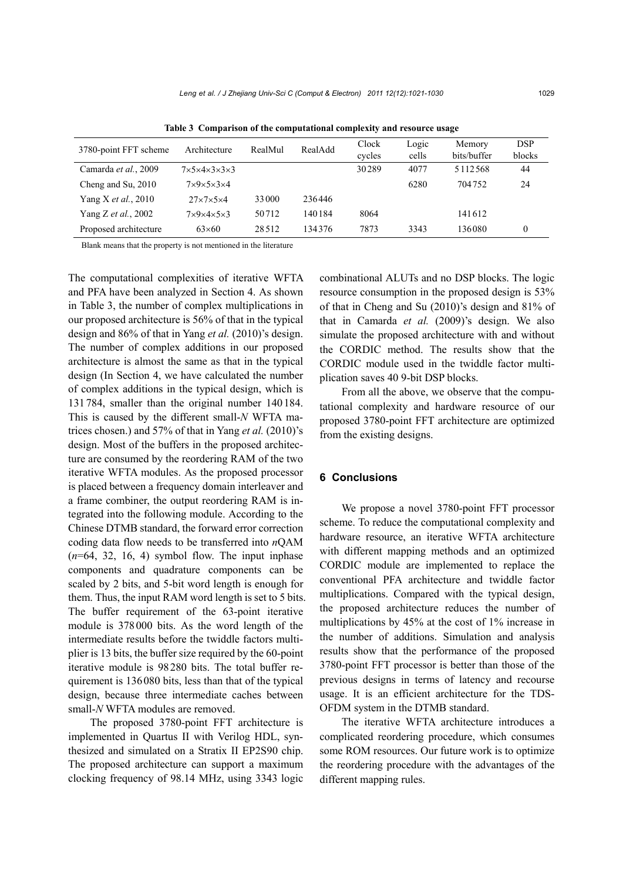| 3780-point FFT scheme       | Architecture                           | RealMul | RealAdd | Clock<br>cycles | Logic<br>cells | Memory<br>bits/buffer | <b>DSP</b><br>blocks |
|-----------------------------|----------------------------------------|---------|---------|-----------------|----------------|-----------------------|----------------------|
| Camarda et al., 2009        | $7\times5\times4\times3\times3\times3$ |         |         | 30289           | 4077           | 5112568               | 44                   |
| Cheng and Su, 2010          | $7\times9\times5\times3\times4$        |         |         |                 | 6280           | 704752                | 24                   |
| Yang X <i>et al.</i> , 2010 | $27\times7\times5\times4$              | 33000   | 236446  |                 |                |                       |                      |
| Yang <i>Z et al.</i> , 2002 | $7\times9\times4\times5\times3$        | 50712   | 140184  | 8064            |                | 141612                |                      |
| Proposed architecture       | $63\times60$                           | 28512   | 134376  | 7873            | 3343           | 136080                |                      |

**Table 3 Comparison of the computational complexity and resource usage** 

Blank means that the property is not mentioned in the literature

The computational complexities of iterative WFTA and PFA have been analyzed in Section 4. As shown in Table 3, the number of complex multiplications in our proposed architecture is 56% of that in the typical design and 86% of that in Yang *et al.* (2010)'s design. The number of complex additions in our proposed architecture is almost the same as that in the typical design (In Section 4, we have calculated the number of complex additions in the typical design, which is 131784, smaller than the original number 140184. This is caused by the different small-*N* WFTA matrices chosen.) and 57% of that in Yang *et al.* (2010)'s design. Most of the buffers in the proposed architecture are consumed by the reordering RAM of the two iterative WFTA modules. As the proposed processor is placed between a frequency domain interleaver and a frame combiner, the output reordering RAM is integrated into the following module. According to the Chinese DTMB standard, the forward error correction coding data flow needs to be transferred into *n*QAM  $(n=64, 32, 16, 4)$  symbol flow. The input inphase components and quadrature components can be scaled by 2 bits, and 5-bit word length is enough for them. Thus, the input RAM word length is set to 5 bits. The buffer requirement of the 63-point iterative module is 378000 bits. As the word length of the intermediate results before the twiddle factors multiplier is 13 bits, the buffer size required by the 60-point iterative module is 98280 bits. The total buffer requirement is 136080 bits, less than that of the typical design, because three intermediate caches between small-*N* WFTA modules are removed.

The proposed 3780-point FFT architecture is implemented in Quartus II with Verilog HDL, synthesized and simulated on a Stratix II EP2S90 chip. The proposed architecture can support a maximum clocking frequency of 98.14 MHz, using 3343 logic combinational ALUTs and no DSP blocks. The logic resource consumption in the proposed design is 53% of that in Cheng and Su (2010)'s design and 81% of that in Camarda *et al.* (2009)'s design. We also simulate the proposed architecture with and without the CORDIC method. The results show that the CORDIC module used in the twiddle factor multiplication saves 40 9-bit DSP blocks.

From all the above, we observe that the computational complexity and hardware resource of our proposed 3780-point FFT architecture are optimized from the existing designs.

# **6 Conclusions**

We propose a novel 3780-point FFT processor scheme. To reduce the computational complexity and hardware resource, an iterative WFTA architecture with different mapping methods and an optimized CORDIC module are implemented to replace the conventional PFA architecture and twiddle factor multiplications. Compared with the typical design, the proposed architecture reduces the number of multiplications by 45% at the cost of 1% increase in the number of additions. Simulation and analysis results show that the performance of the proposed 3780-point FFT processor is better than those of the previous designs in terms of latency and recourse usage. It is an efficient architecture for the TDS-OFDM system in the DTMB standard.

The iterative WFTA architecture introduces a complicated reordering procedure, which consumes some ROM resources. Our future work is to optimize the reordering procedure with the advantages of the different mapping rules.